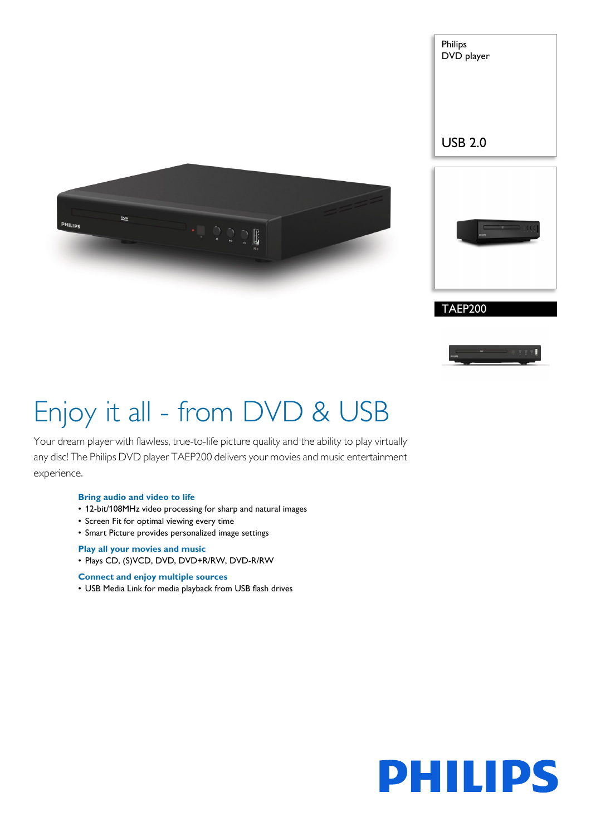



Philips DVD player



# Enjoy it all - from DVD & USB

Your dream player with flawless, true-to-life picture quality and the ability to play virtually any disc! The Philips DVD player TAEP200 delivers your movies and music entertainment experience.

### **Bring audio and video to life**

- 12-bit/108MHz video processing for sharp and natural images
- Screen Fit for optimal viewing every time
- Smart Picture provides personalized image settings

## **Play all your movies and music**

• Plays CD, (S)VCD, DVD, DVD+R/RW, DVD-R/RW

### **Connect and enjoy multiple sources**

• USB Media Link for media playback from USB flash drives

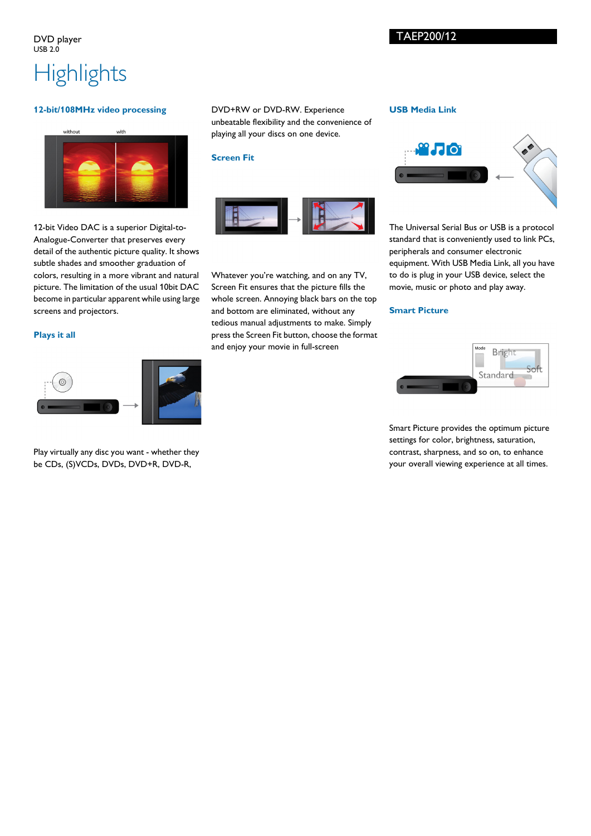# **Highlights**

## **12-bit/108MHz video processing**

without with

12-bit Video DAC is a superior Digital-to-Analogue-Converter that preserves every detail of the authentic picture quality. It shows subtle shades and smoother graduation of colors, resulting in a more vibrant and natural picture. The limitation of the usual 10bit DAC become in particular apparent while using large screens and projectors.

## **Plays it all**



Play virtually any disc you want - whether they be CDs, (S)VCDs, DVDs, DVD+R, DVD-R,

DVD+RW or DVD-RW. Experience unbeatable flexibility and the convenience of playing all your discs on one device.

#### **Screen Fit**



Whatever you're watching, and on any TV, Screen Fit ensures that the picture fills the whole screen. Annoying black bars on the top and bottom are eliminated, without any tedious manual adjustments to make. Simply press the Screen Fit button, choose the format and enjoy your movie in full-screen

### **USB Media Link**



The Universal Serial Bus or USB is a protocol standard that is conveniently used to link PCs, peripherals and consumer electronic equipment. With USB Media Link, all you have to do is plug in your USB device, select the movie, music or photo and play away.

## **Smart Picture**



Smart Picture provides the optimum picture settings for color, brightness, saturation, contrast, sharpness, and so on, to enhance your overall viewing experience at all times.

TAEP200/12